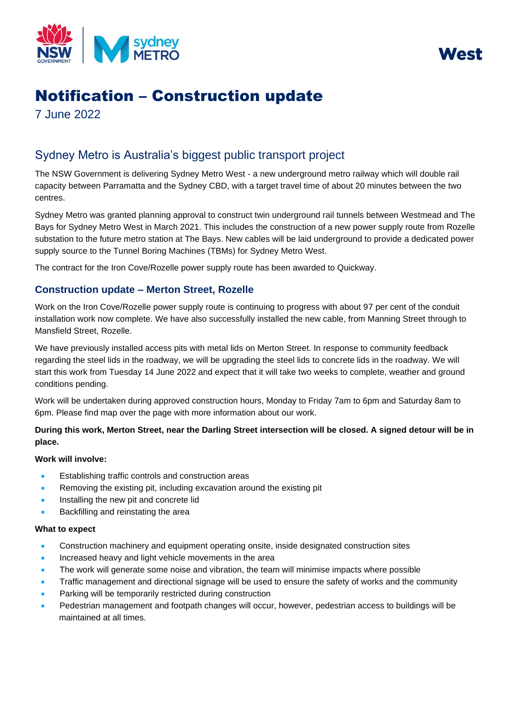



# Notification – Construction update

7 June 2022

# Sydney Metro is Australia's biggest public transport project

The NSW Government is delivering Sydney Metro West - a new underground metro railway which will double rail capacity between Parramatta and the Sydney CBD, with a target travel time of about 20 minutes between the two centres.

Sydney Metro was granted planning approval to construct twin underground rail tunnels between Westmead and The Bays for Sydney Metro West in March 2021. This includes the construction of a new power supply route from Rozelle substation to the future metro station at The Bays. New cables will be laid underground to provide a dedicated power supply source to the Tunnel Boring Machines (TBMs) for Sydney Metro West.

The contract for the Iron Cove/Rozelle power supply route has been awarded to Quickway.

## **Construction update – Merton Street, Rozelle**

Work on the Iron Cove/Rozelle power supply route is continuing to progress with about 97 per cent of the conduit installation work now complete. We have also successfully installed the new cable, from Manning Street through to Mansfield Street, Rozelle.

We have previously installed access pits with metal lids on Merton Street. In response to community feedback regarding the steel lids in the roadway, we will be upgrading the steel lids to concrete lids in the roadway. We will start this work from Tuesday 14 June 2022 and expect that it will take two weeks to complete, weather and ground conditions pending.

Work will be undertaken during approved construction hours, Monday to Friday 7am to 6pm and Saturday 8am to 6pm. Please find map over the page with more information about our work.

### **During this work, Merton Street, near the Darling Street intersection will be closed. A signed detour will be in place.**

#### **Work will involve:**

- Establishing traffic controls and construction areas
- Removing the existing pit, including excavation around the existing pit
- Installing the new pit and concrete lid
- Backfilling and reinstating the area

#### **What to expect**

- Construction machinery and equipment operating onsite, inside designated construction sites
- Increased heavy and light vehicle movements in the area
- The work will generate some noise and vibration, the team will minimise impacts where possible
- Traffic management and directional signage will be used to ensure the safety of works and the community
- Parking will be temporarily restricted during construction
- Pedestrian management and footpath changes will occur, however, pedestrian access to buildings will be maintained at all times.